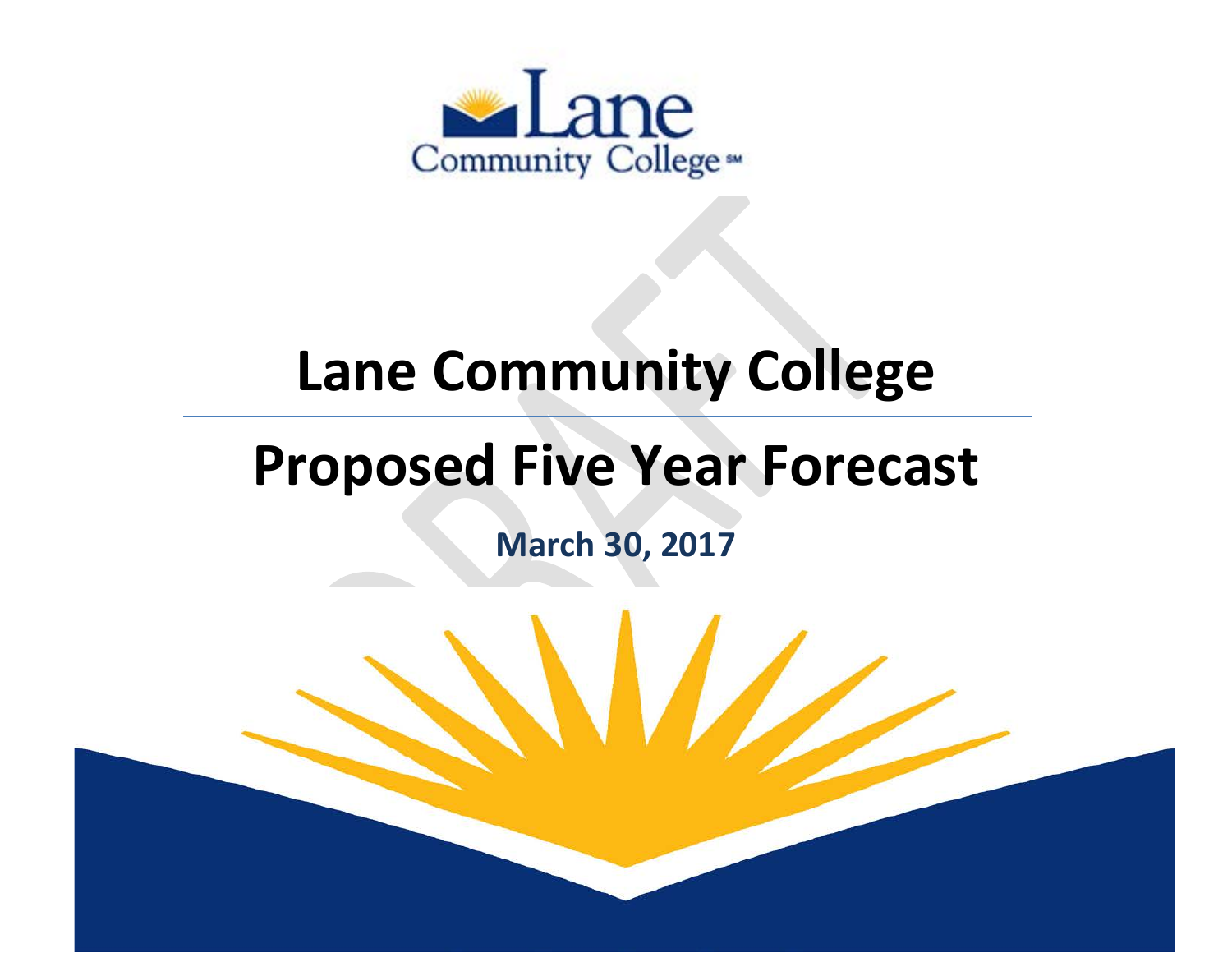

## **Lane Community College**

# **Proposed Five Year Forecast**

**March 30, 2017**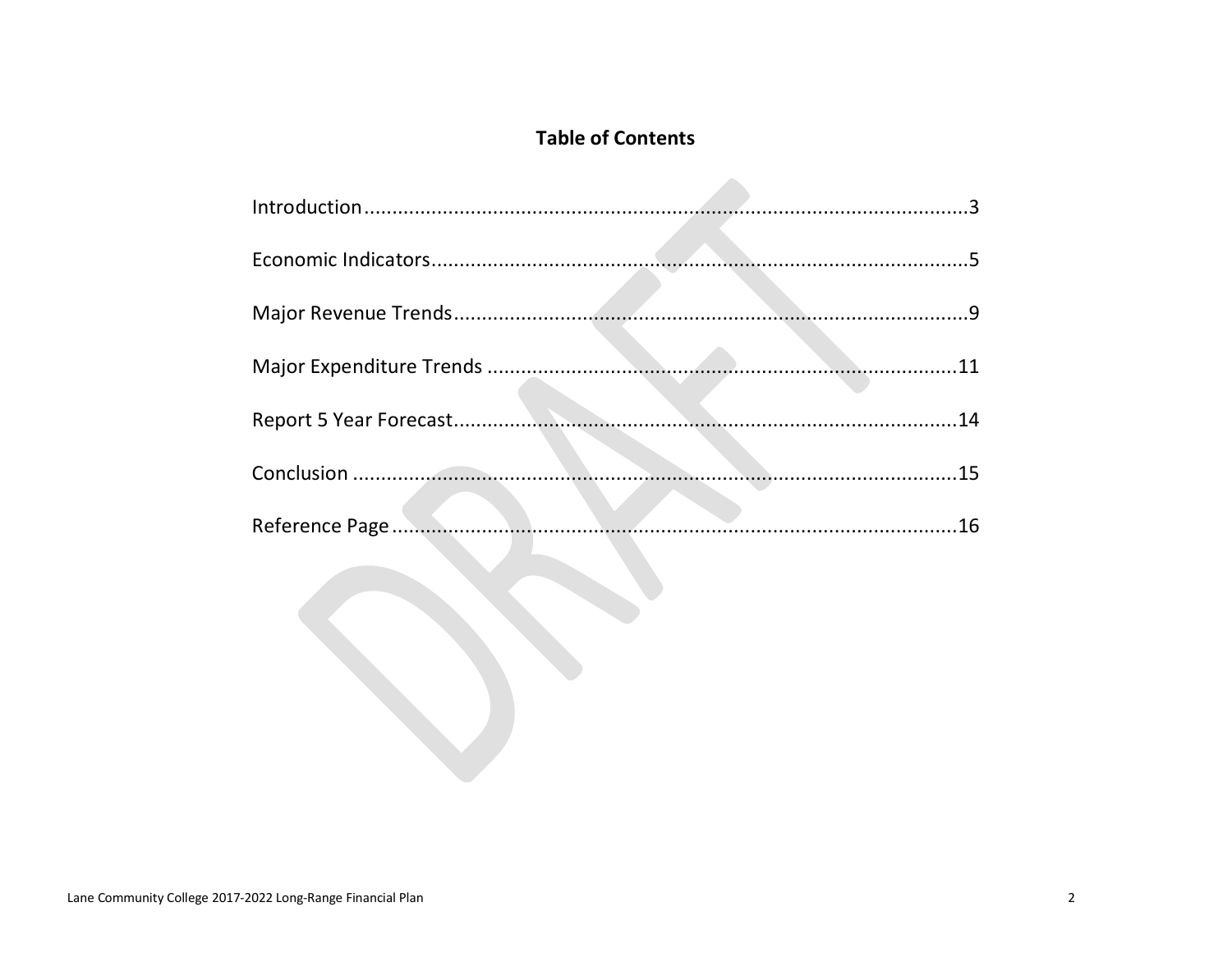## **Table of Contents**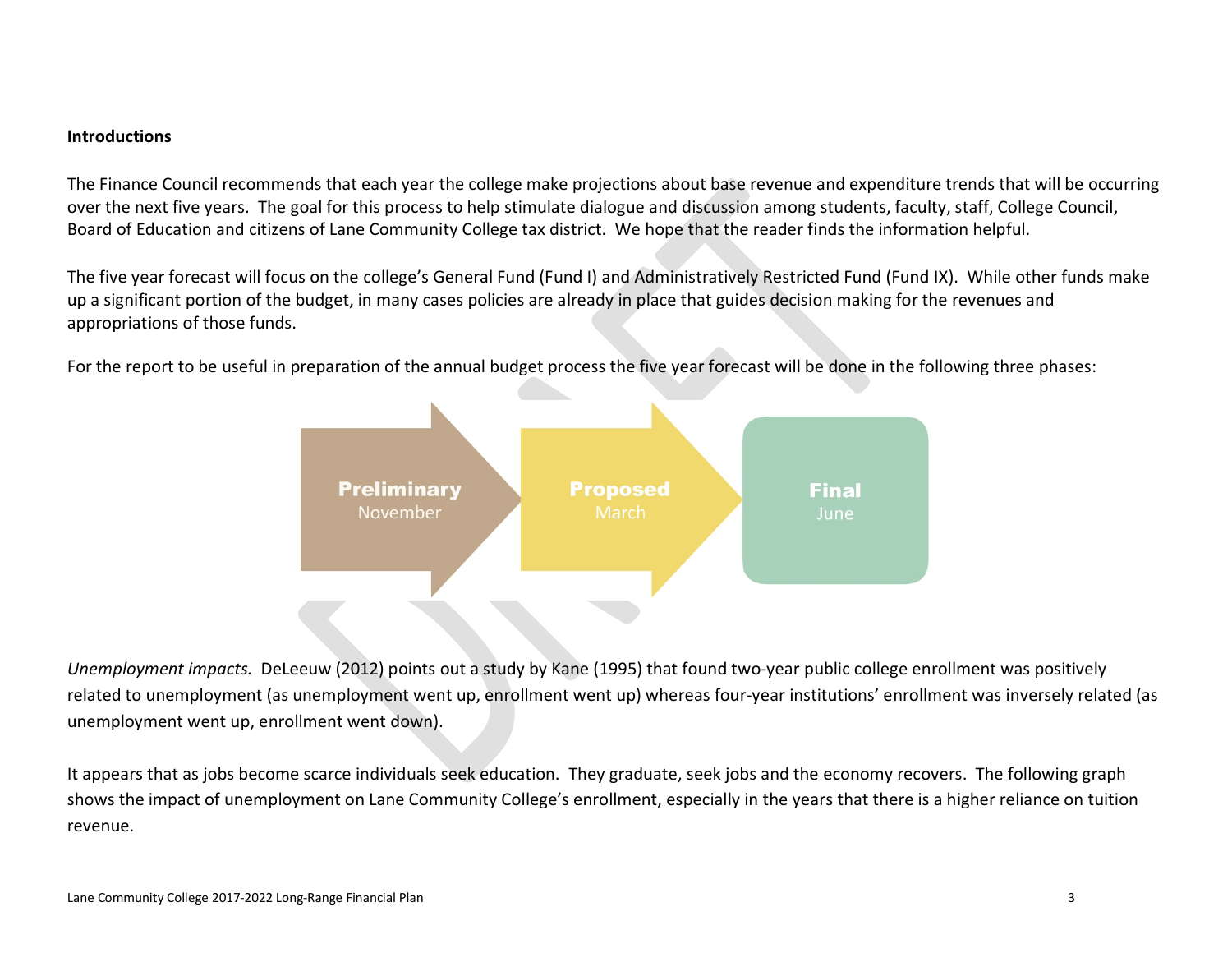#### **Introductions**

The Finance Council recommends that each year the college make projections about base revenue and expenditure trends that will be occurring over the next five years. The goal for this process to help stimulate dialogue and discussion among students, faculty, staff, College Council, Board of Education and citizens of Lane Community College tax district. We hope that the reader finds the information helpful.

The five year forecast will focus on the college's General Fund (Fund I) and Administratively Restricted Fund (Fund IX). While other funds make up a significant portion of the budget, in many cases policies are already in place that guides decision making for the revenues and appropriations of those funds.

For the report to be useful in preparation of the annual budget process the five year forecast will be done in the following three phases:



*Unemployment impacts.* DeLeeuw (2012) points out a study by Kane (1995) that found two-year public college enrollment was positively related to unemployment (as unemployment went up, enrollment went up) whereas four-year institutions' enrollment was inversely related (as unemployment went up, enrollment went down).

It appears that as jobs become scarce individuals seek education. They graduate, seek jobs and the economy recovers. The following graph shows the impact of unemployment on Lane Community College's enrollment, especially in the years that there is a higher reliance on tuition revenue.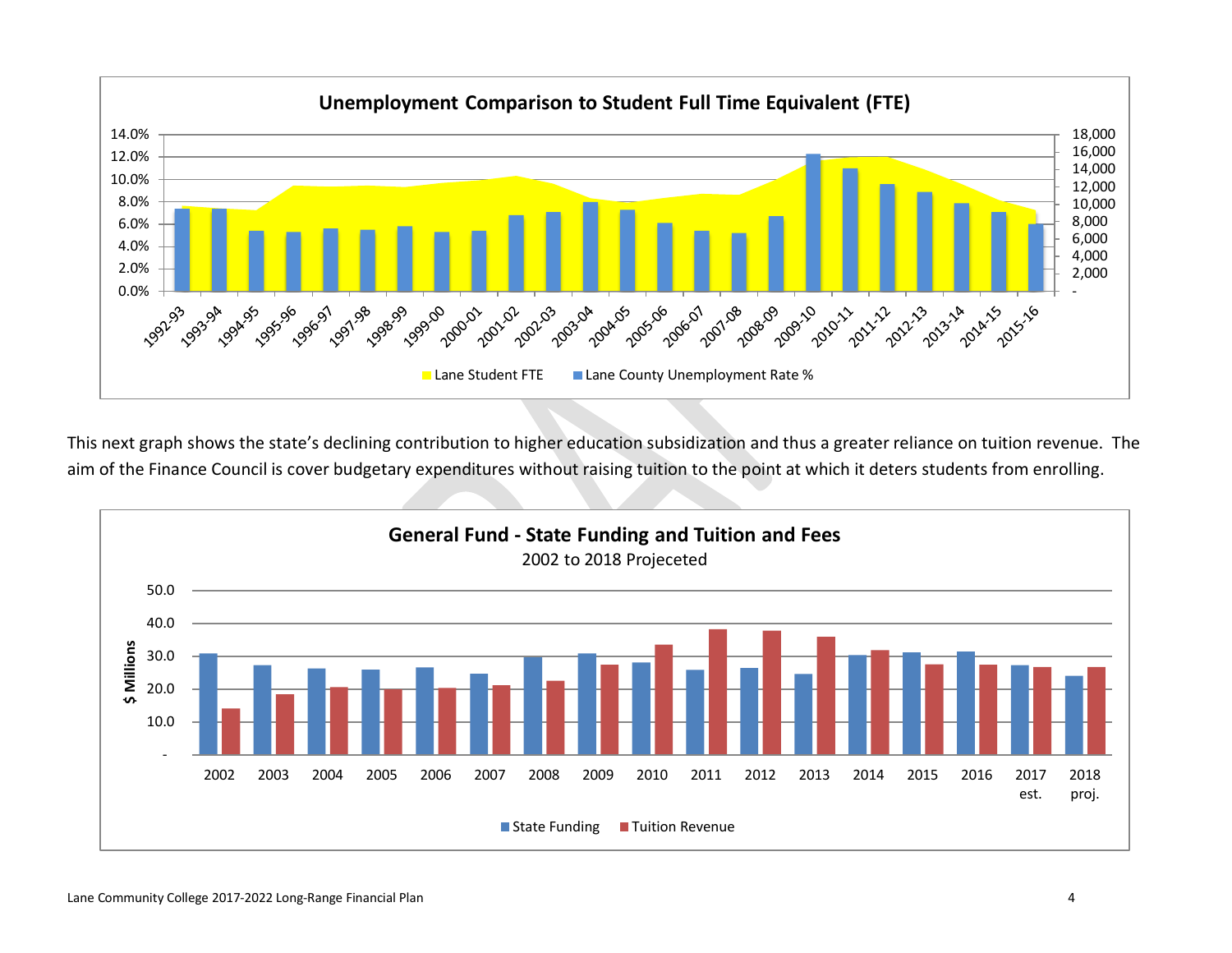

This next graph shows the state's declining contribution to higher education subsidization and thus a greater reliance on tuition revenue. The aim of the Finance Council is cover budgetary expenditures without raising tuition to the point at which it deters students from enrolling.

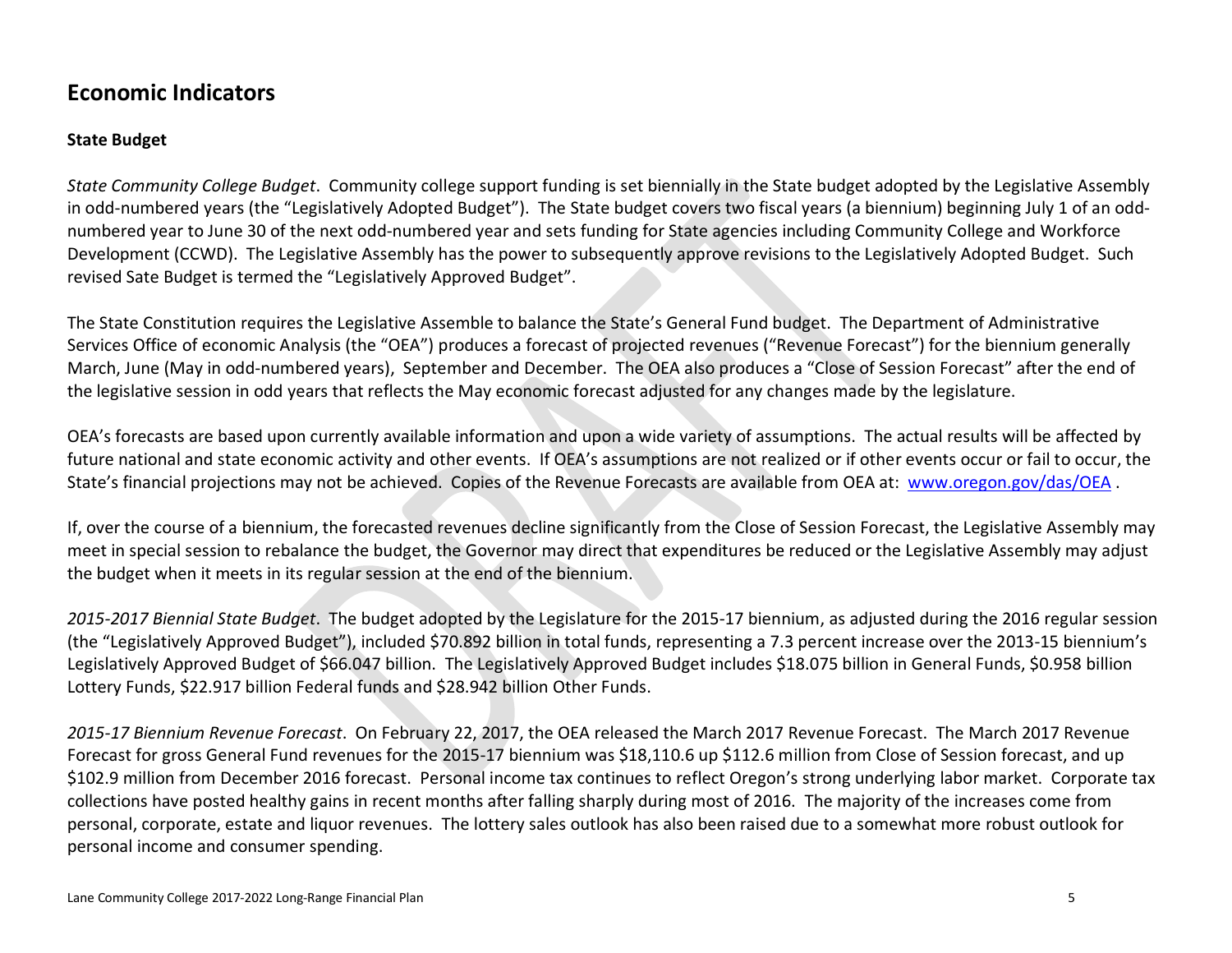## **Economic Indicators**

#### **State Budget**

*State Community College Budget*. Community college support funding is set biennially in the State budget adopted by the Legislative Assembly in odd-numbered years (the "Legislatively Adopted Budget"). The State budget covers two fiscal years (a biennium) beginning July 1 of an oddnumbered year to June 30 of the next odd-numbered year and sets funding for State agencies including Community College and Workforce Development (CCWD). The Legislative Assembly has the power to subsequently approve revisions to the Legislatively Adopted Budget. Such revised Sate Budget is termed the "Legislatively Approved Budget".

The State Constitution requires the Legislative Assemble to balance the State's General Fund budget. The Department of Administrative Services Office of economic Analysis (the "OEA") produces a forecast of projected revenues ("Revenue Forecast") for the biennium generally March, June (May in odd-numbered years), September and December. The OEA also produces a "Close of Session Forecast" after the end of the legislative session in odd years that reflects the May economic forecast adjusted for any changes made by the legislature.

OEA's forecasts are based upon currently available information and upon a wide variety of assumptions. The actual results will be affected by future national and state economic activity and other events. If OEA's assumptions are not realized or if other events occur or fail to occur, the State's financial projections may not be achieved. Copies of the Revenue Forecasts are available from OEA at: [www.oregon.gov/das/OEA](http://www.oregon.gov/das/OEA) .

If, over the course of a biennium, the forecasted revenues decline significantly from the Close of Session Forecast, the Legislative Assembly may meet in special session to rebalance the budget, the Governor may direct that expenditures be reduced or the Legislative Assembly may adjust the budget when it meets in its regular session at the end of the biennium.

*2015-2017 Biennial State Budget*. The budget adopted by the Legislature for the 2015-17 biennium, as adjusted during the 2016 regular session (the "Legislatively Approved Budget"), included \$70.892 billion in total funds, representing a 7.3 percent increase over the 2013-15 biennium's Legislatively Approved Budget of \$66.047 billion. The Legislatively Approved Budget includes \$18.075 billion in General Funds, \$0.958 billion Lottery Funds, \$22.917 billion Federal funds and \$28.942 billion Other Funds.

*2015-17 Biennium Revenue Forecast*. On February 22, 2017, the OEA released the March 2017 Revenue Forecast. The March 2017 Revenue Forecast for gross General Fund revenues for the 2015-17 biennium was \$18,110.6 up \$112.6 million from Close of Session forecast, and up \$102.9 million from December 2016 forecast. Personal income tax continues to reflect Oregon's strong underlying labor market. Corporate tax collections have posted healthy gains in recent months after falling sharply during most of 2016. The majority of the increases come from personal, corporate, estate and liquor revenues. The lottery sales outlook has also been raised due to a somewhat more robust outlook for personal income and consumer spending.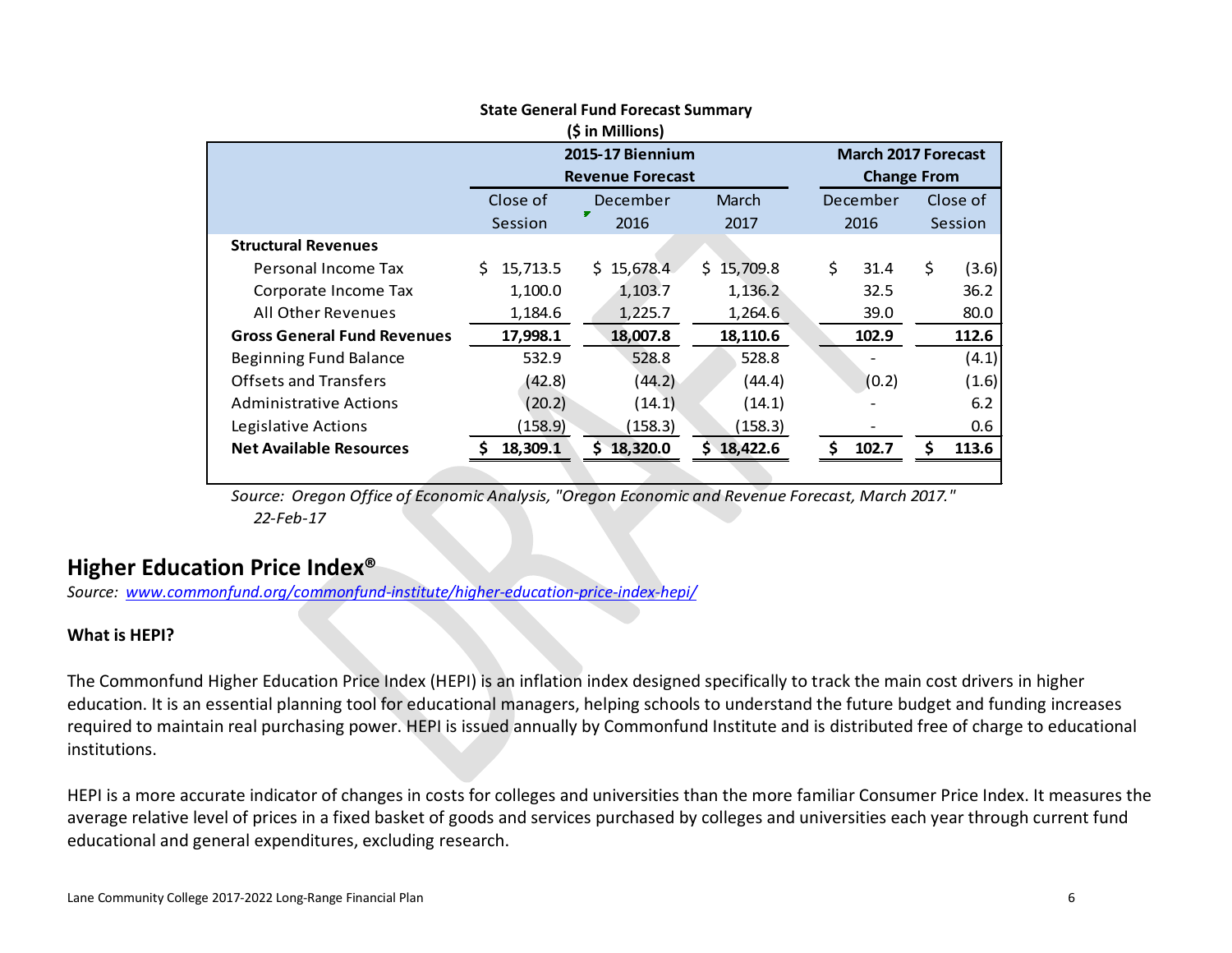| (\$ in Millions)                   |                         |                         |                            |                    |          |    |          |  |  |  |  |  |
|------------------------------------|-------------------------|-------------------------|----------------------------|--------------------|----------|----|----------|--|--|--|--|--|
|                                    | <b>2015-17 Biennium</b> |                         | <b>March 2017 Forecast</b> |                    |          |    |          |  |  |  |  |  |
|                                    |                         | <b>Revenue Forecast</b> |                            | <b>Change From</b> |          |    |          |  |  |  |  |  |
|                                    | Close of                | December                | March                      |                    | December |    | Close of |  |  |  |  |  |
|                                    | Session                 | 2016                    | 2017                       |                    | 2016     |    | Session  |  |  |  |  |  |
| <b>Structural Revenues</b>         |                         |                         |                            |                    |          |    |          |  |  |  |  |  |
| Personal Income Tax                | Š.<br>15,713.5          | 15,678.4<br>S.          | \$15,709.8                 | \$                 | 31.4     | \$ | (3.6)    |  |  |  |  |  |
| Corporate Income Tax               | 1,100.0                 | 1,103.7                 | 1,136.2                    |                    | 32.5     |    | 36.2     |  |  |  |  |  |
| All Other Revenues                 | 1,184.6                 | 1,225.7                 | 1,264.6                    |                    | 39.0     |    | 80.0     |  |  |  |  |  |
| <b>Gross General Fund Revenues</b> | 17,998.1                | 18,007.8                | 18,110.6                   |                    | 102.9    |    | 112.6    |  |  |  |  |  |
| Beginning Fund Balance             | 532.9                   | 528.8                   | 528.8                      |                    |          |    | (4.1)    |  |  |  |  |  |
| <b>Offsets and Transfers</b>       | (42.8)                  | (44.2)                  | (44.4)                     |                    | (0.2)    |    | (1.6)    |  |  |  |  |  |
| <b>Administrative Actions</b>      | (20.2)                  | (14.1)                  | (14.1)                     |                    |          |    | 6.2      |  |  |  |  |  |
| Legislative Actions                | (158.9)                 | (158.3)                 | (158.3)                    |                    |          |    | 0.6      |  |  |  |  |  |
| <b>Net Available Resources</b>     | 18,309.1                | 18,320.0                | 18,422.6                   | Ŝ.                 | 102.7    |    | 113.6    |  |  |  |  |  |
|                                    |                         |                         |                            |                    |          |    |          |  |  |  |  |  |

#### **State General Fund Forecast Summary**

*Source: Oregon Office of Economic Analysis, "Oregon Economic and Revenue Forecast, March 2017." 22-Feb-17*

## **Higher Education Price Index®**

*Source: [www.commonfund.org/commonfund-institute/higher-education-price-index-hepi/](http://www.commonfund.org/commonfund-institute/higher-education-price-index-hepi/)*

#### **What is HEPI?**

The Commonfund Higher Education Price Index (HEPI) is an inflation index designed specifically to track the main cost drivers in higher education. It is an essential planning tool for educational managers, helping schools to understand the future budget and funding increases required to maintain real purchasing power. HEPI is issued annually by Commonfund Institute and is distributed free of charge to educational institutions.

HEPI is a more accurate indicator of changes in costs for colleges and universities than the more familiar Consumer Price Index. It measures the average relative level of prices in a fixed basket of goods and services purchased by colleges and universities each year through current fund educational and general expenditures, excluding research.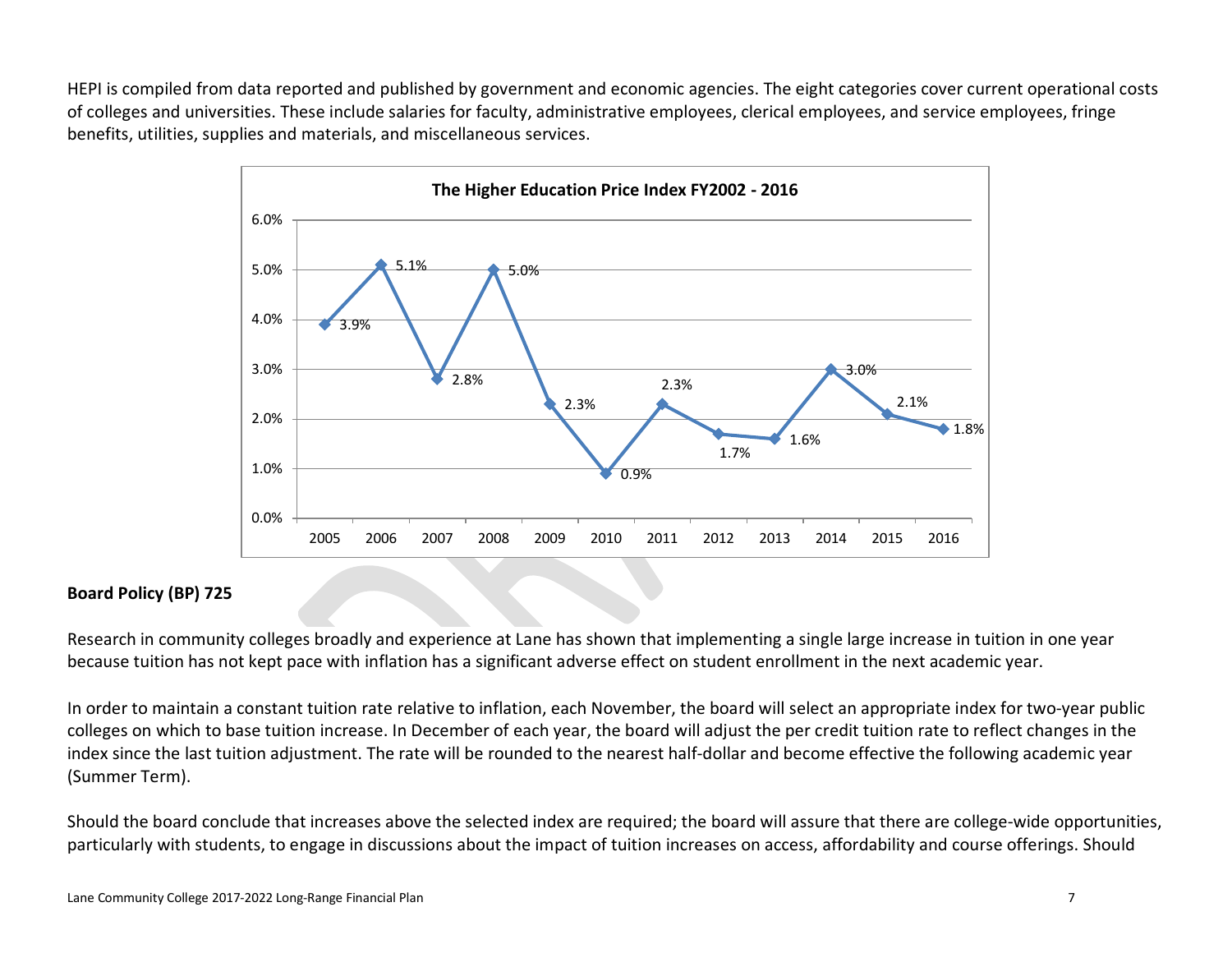HEPI is compiled from data reported and published by government and economic agencies. The eight categories cover current operational costs of colleges and universities. These include salaries for faculty, administrative employees, clerical employees, and service employees, fringe benefits, utilities, supplies and materials, and miscellaneous services.



#### **Board Policy (BP) 725**

Research in community colleges broadly and experience at Lane has shown that implementing a single large increase in tuition in one year because tuition has not kept pace with inflation has a significant adverse effect on student enrollment in the next academic year.

In order to maintain a constant tuition rate relative to inflation, each November, the board will select an appropriate index for two-year public colleges on which to base tuition increase. In December of each year, the board will adjust the per credit tuition rate to reflect changes in the index since the last tuition adjustment. The rate will be rounded to the nearest half-dollar and become effective the following academic year (Summer Term).

Should the board conclude that increases above the selected index are required; the board will assure that there are college-wide opportunities, particularly with students, to engage in discussions about the impact of tuition increases on access, affordability and course offerings. Should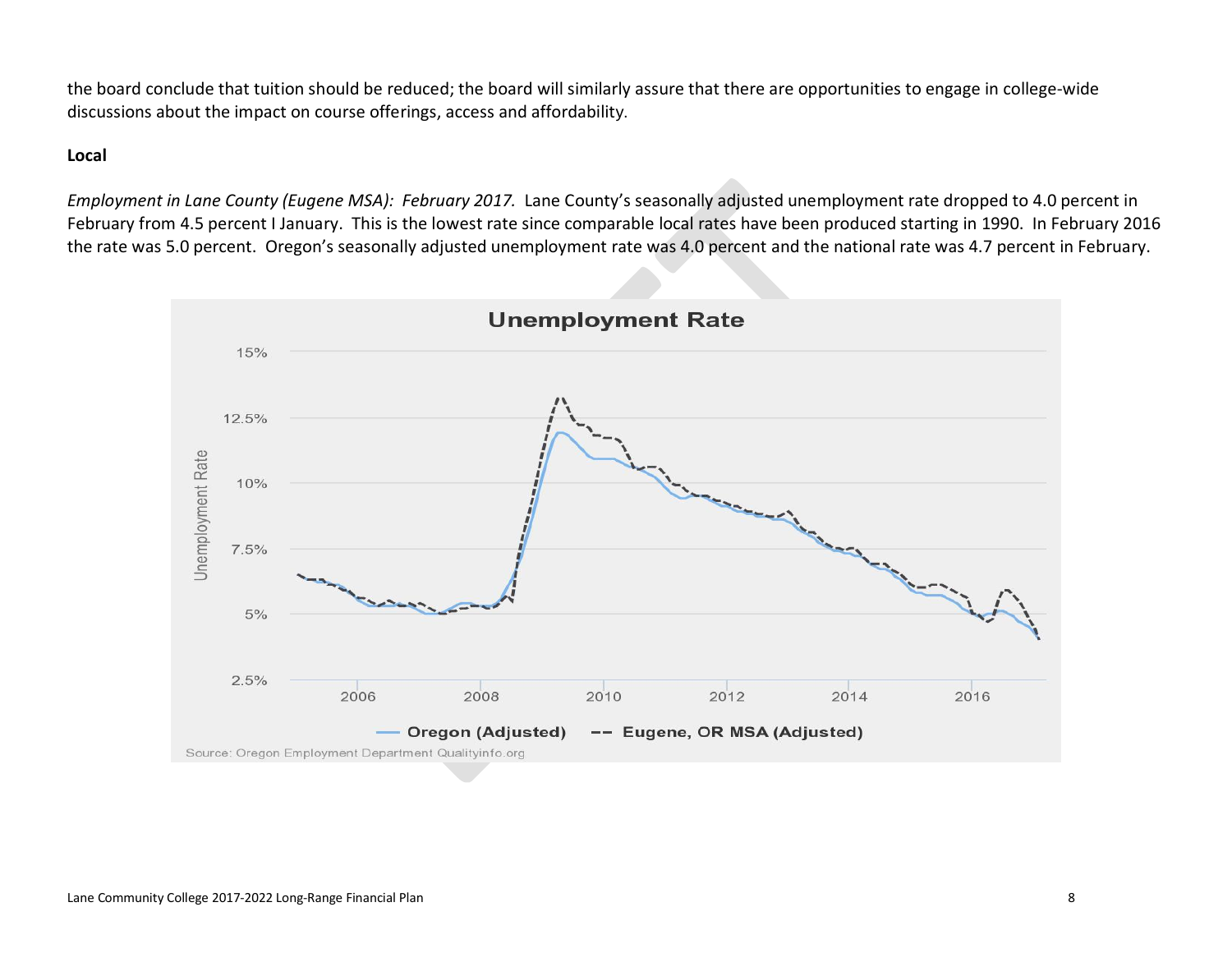the board conclude that tuition should be reduced; the board will similarly assure that there are opportunities to engage in college-wide discussions about the impact on course offerings, access and affordability.

#### **Local**

*Employment in Lane County (Eugene MSA): February 2017.* Lane County's seasonally adjusted unemployment rate dropped to 4.0 percent in February from 4.5 percent I January. This is the lowest rate since comparable local rates have been produced starting in 1990. In February 2016 the rate was 5.0 percent. Oregon's seasonally adjusted unemployment rate was 4.0 percent and the national rate was 4.7 percent in February.

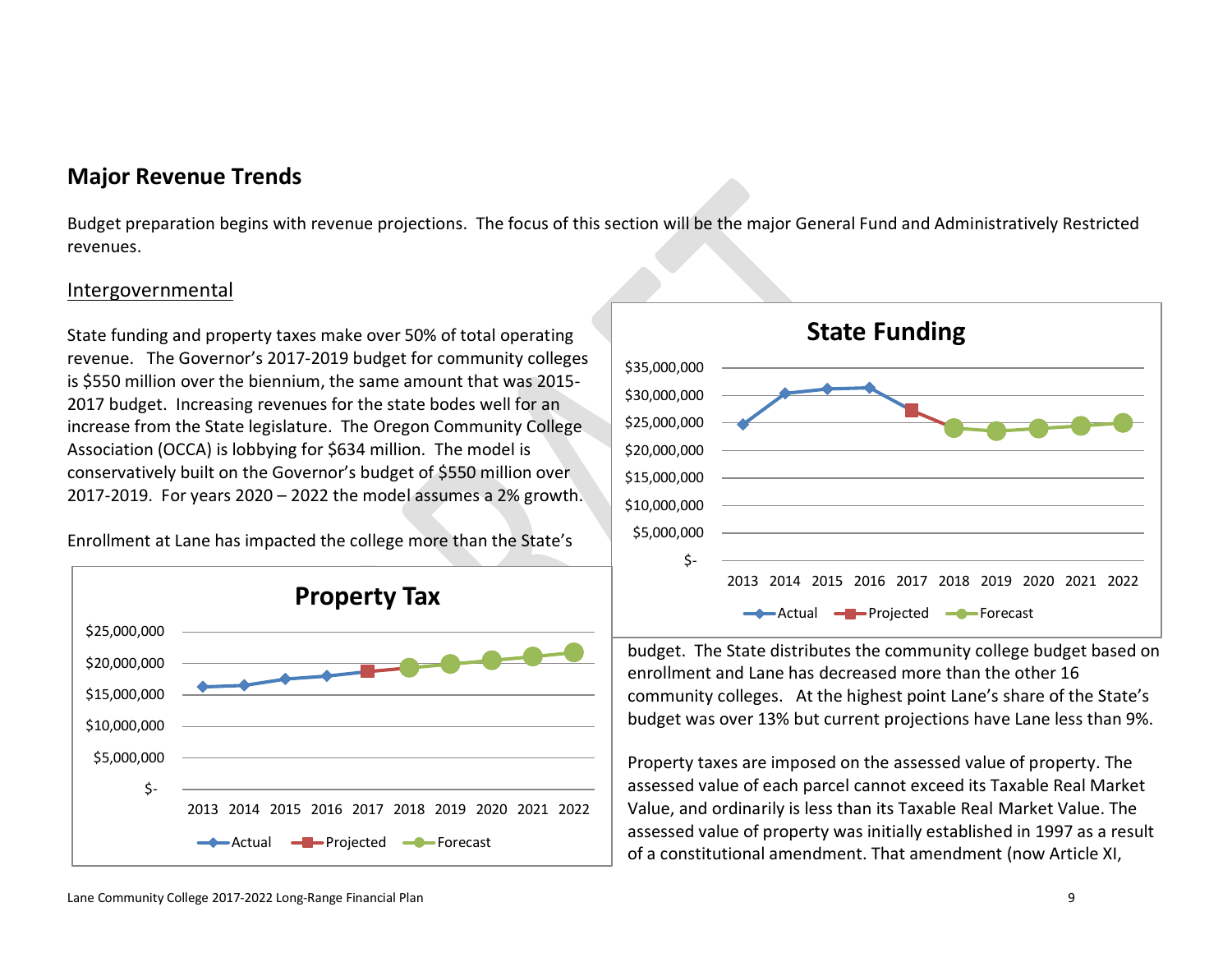## **Major Revenue Trends**

Budget preparation begins with revenue projections. The focus of this section will be the major General Fund and Administratively Restricted revenues.

#### Intergovernmental

State funding and property taxes make over 50% of total operating revenue. The Governor's 2017-2019 budget for community colleges is \$550 million over the biennium, the same amount that was 2015- 2017 budget. Increasing revenues for the state bodes well for an increase from the State legislature. The Oregon Community College Association (OCCA) is lobbying for \$634 million. The model is conservatively built on the Governor's budget of \$550 million over 2017-2019. For years 2020 – 2022 the model assumes a 2% growth.

Enrollment at Lane has impacted the college more than the State's





budget. The State distributes the community college budget based on enrollment and Lane has decreased more than the other 16 community colleges. At the highest point Lane's share of the State's budget was over 13% but current projections have Lane less than 9%.

Property taxes are imposed on the assessed value of property. The assessed value of each parcel cannot exceed its Taxable Real Market Value, and ordinarily is less than its Taxable Real Market Value. The assessed value of property was initially established in 1997 as a result of a constitutional amendment. That amendment (now Article XI,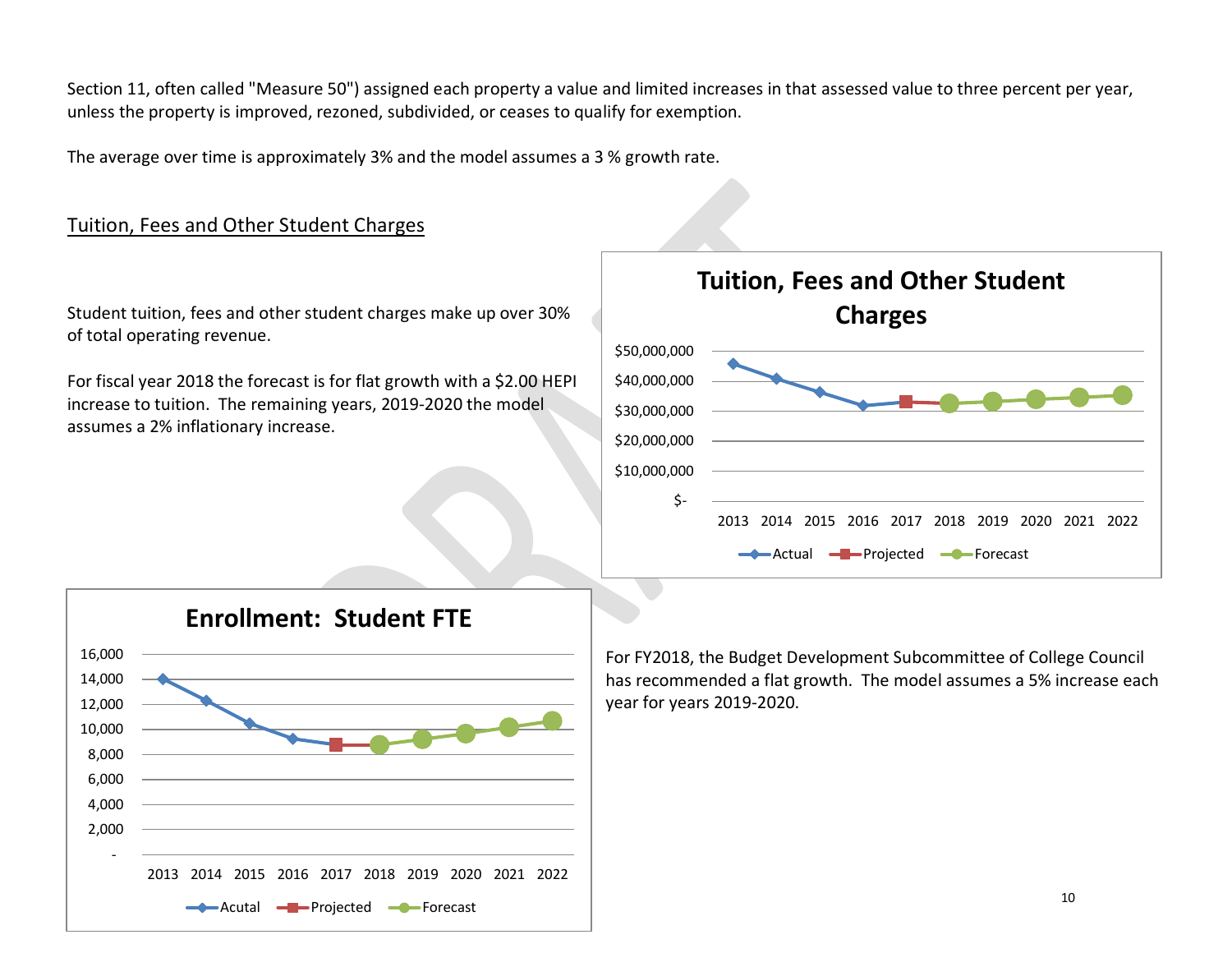Section 11, often called "Measure 50") assigned each property a value and limited increases in that assessed value to three percent per year, unless the property is improved, rezoned, subdivided, or ceases to qualify for exemption.

The average over time is approximately 3% and the model assumes a 3 % growth rate.

### Tuition, Fees and Other Student Charges

Student tuition, fees and other student charges make up over 30% of total operating revenue.

For fiscal year 2018 the forecast is for flat growth with a \$2.00 HEPI increase to tuition. The remaining years, 2019-2020 the model assumes a 2% inflationary increase.





For FY2018, the Budget Development Subcommittee of College Council has recommended a flat growth. The model assumes a 5% increase each year for years 2019-2020.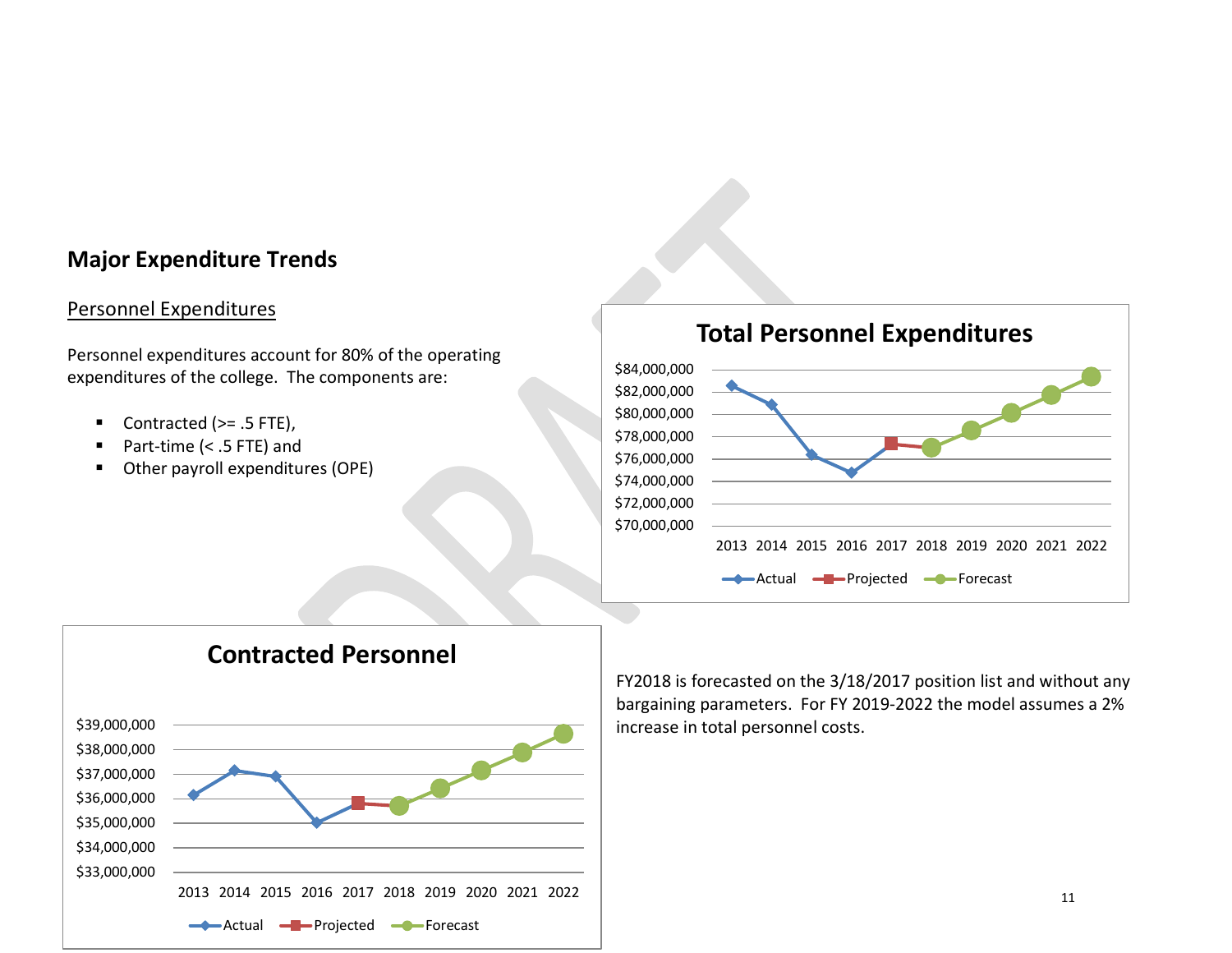## **Major Expenditure Trends**

## Personnel Expenditures

Personnel expenditures account for 80% of the operating expenditures of the college. The components are:

- Contracted (>= .5 FTE),
- Part-time (< .5 FTE) and
- Other payroll expenditures (OPE)





FY2018 is forecasted on the 3/18/2017 position list and without any bargaining parameters. For FY 2019-2022 the model assumes a 2% increase in total personnel costs.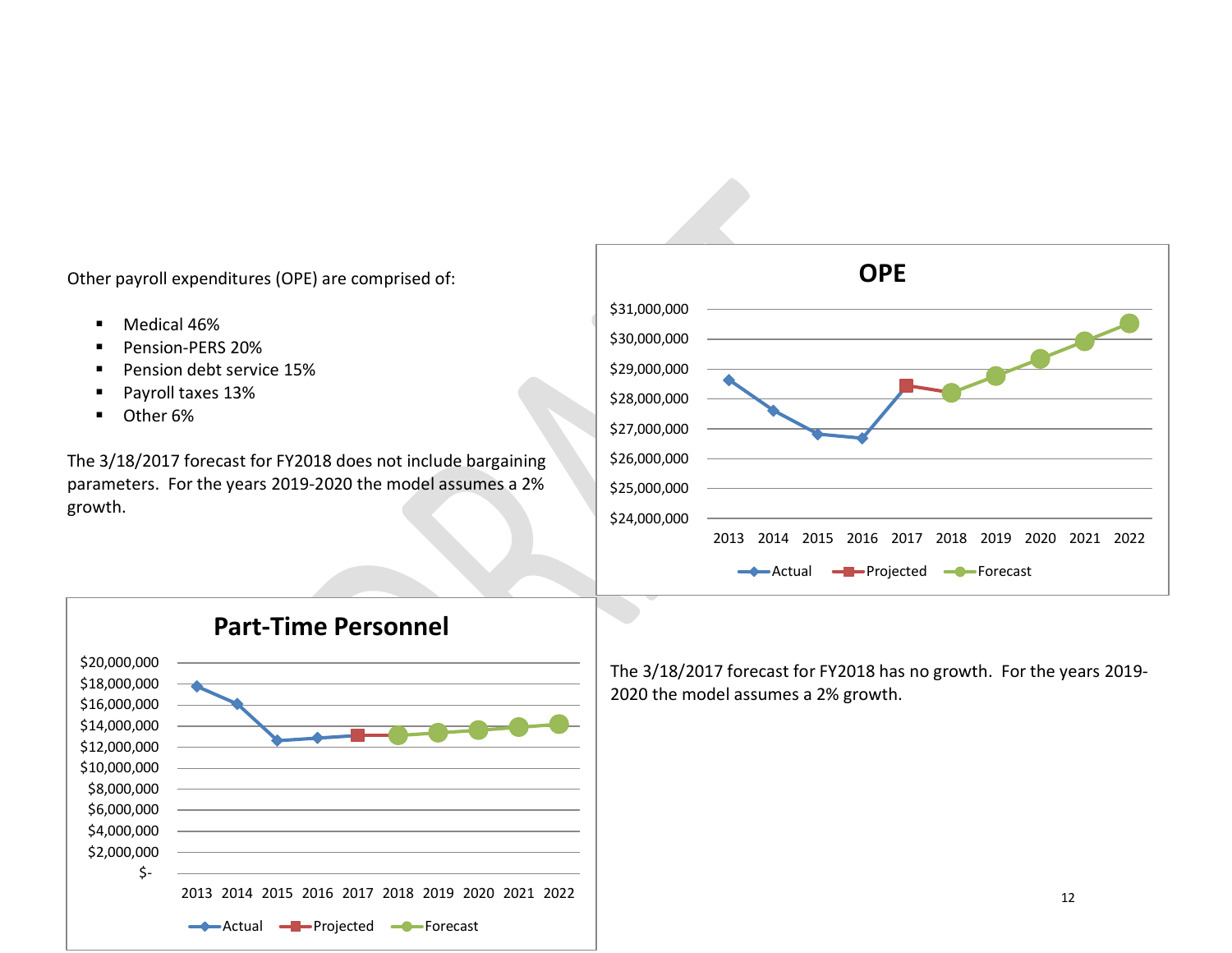Other payroll expenditures (OPE) are comprised of:

- **Medical 46%**
- Pension-PERS 20%
- Pension debt service 15%
- Payroll taxes 13%
- **D**ther 6%

The 3/18/2017 forecast for FY2018 does not include bargaining parameters. For the years 2019-2020 the model assumes a 2% growth.





The 3/18/2017 forecast for FY2018 has no growth. For the years 2019- 2020 the model assumes a 2% growth.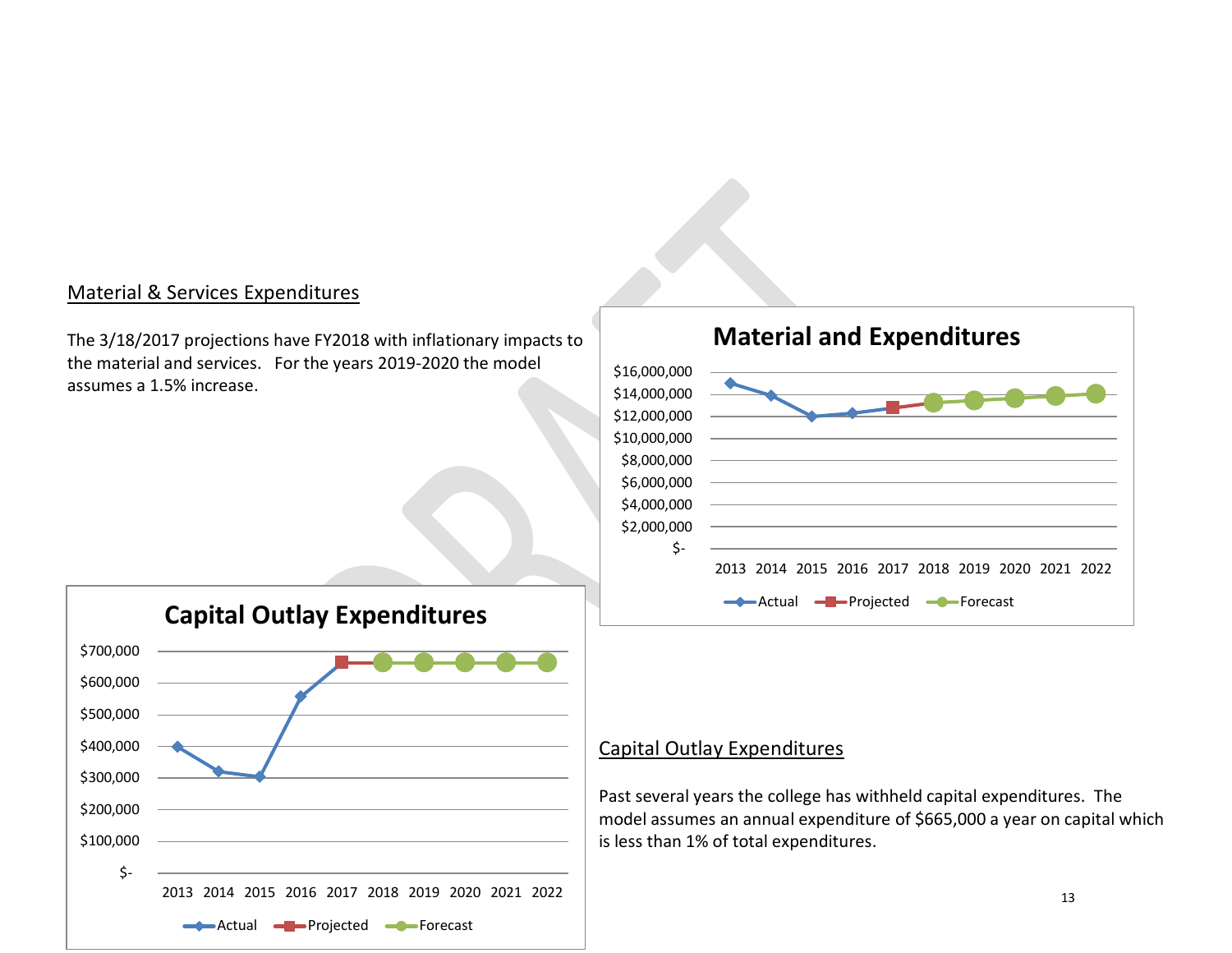### Material & Services Expenditures

The 3/18/2017 projections have FY2018 with inflationary impacts to the material and services. For the years 2019-2020 the model assumes a 1.5% increase.





## Capital Outlay Expenditures

Past several years the college has withheld capital expenditures. The model assumes an annual expenditure of \$665,000 a year on capital which is less than 1% of total expenditures.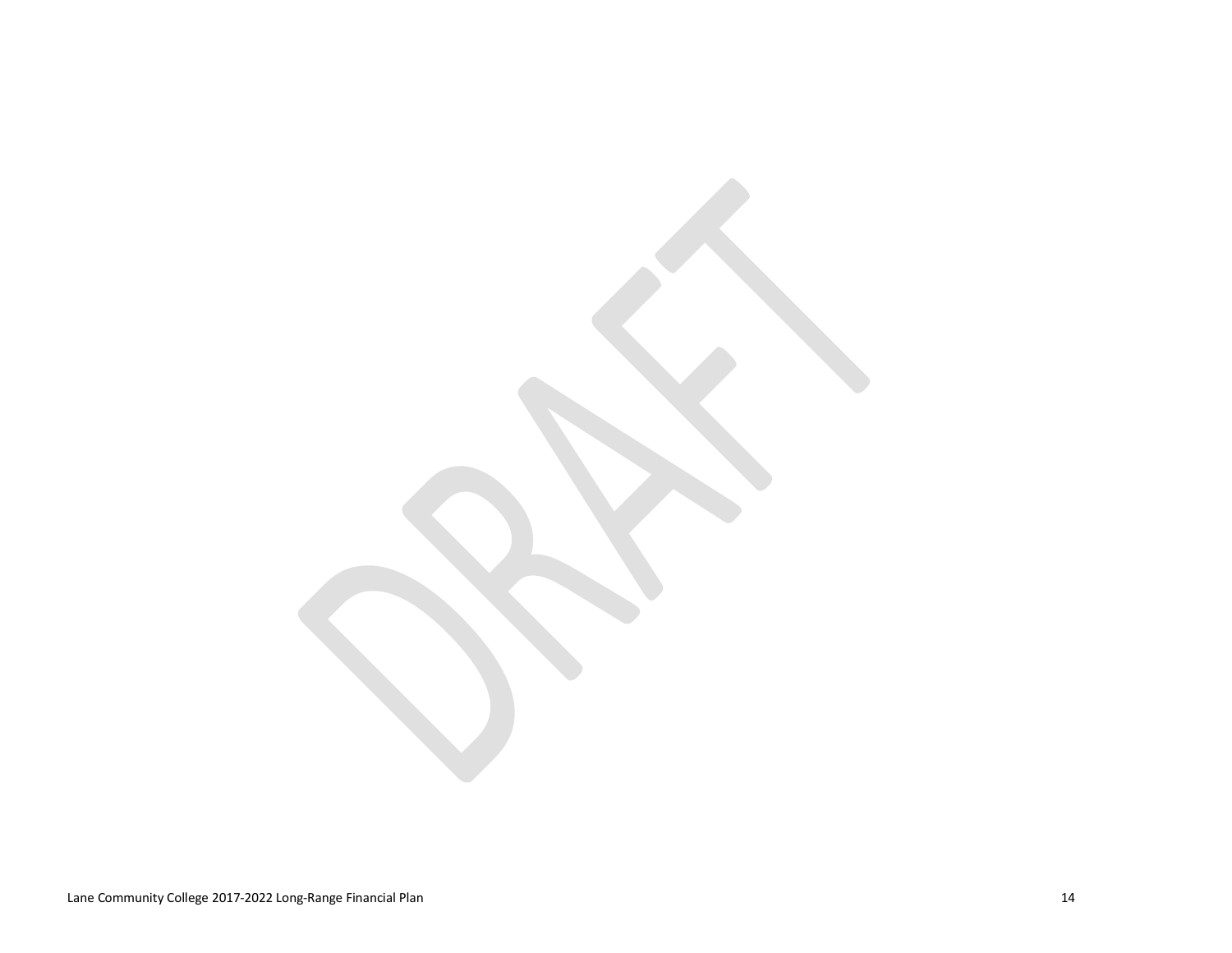Lane Community College 2017-2022 Long-Range Financial Plan 14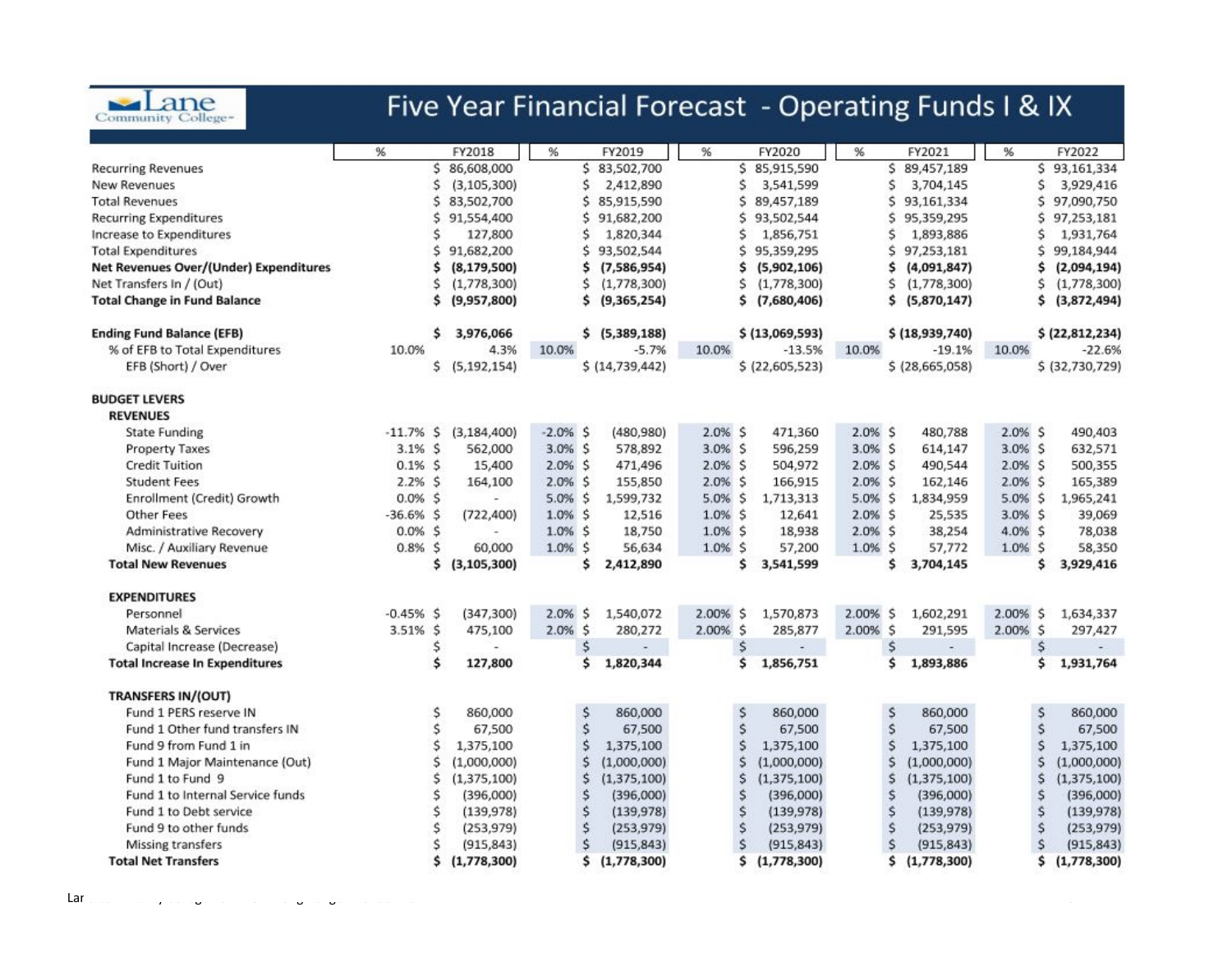

## Five Year Financial Forecast - Operating Funds I & IX

| \$86,608,000<br>Ś.<br>83,502,700<br>Ś.<br>85,915,590<br>Š.<br>89,457,189<br>\$93,161,334<br><b>Recurring Revenues</b><br>\$<br>Ś<br>Ś<br>New Revenues<br>(3, 105, 300)<br>Ś<br>2,412,890<br>Ś<br>3,541,599<br>3,704,145<br>3,929,416<br>\$<br>Ś.<br>Š.<br>Ś.<br><b>Total Revenues</b><br>83,502,700<br>85,915,590<br>89,457,189<br>93,161,334<br>97,090,750<br>\$<br>Ś.<br>93,502,544<br>Ś.<br>Ś.<br>97.253.181<br><b>Recurring Expenditures</b><br>91,554,400<br>Ś.<br>91,682,200<br>95,359,295<br>Increase to Expenditures<br>127,800<br>1,820,344<br>Ś<br>1,856,751<br>Ś<br>1,893,886<br>Ś<br>1,931,764<br>Ś<br>\$.<br>Ś<br>91,682,200<br>Ś<br>93,502,544<br>\$<br>95,359,295<br>97,253,181<br>99,184,944<br><b>Total Expenditures</b><br>Net Revenues Over/(Under) Expenditures<br>\$<br>\$<br>\$<br>(4,091,847)<br>\$<br>(2,094,194)<br>(8, 179, 500)<br>(7,586,954)<br>\$<br>(5,902,106)<br>Net Transfers In / (Out)<br>Ś<br>(1,778,300)<br>(1,778,300)<br>Ŝ<br>(1,778,300)<br>Ŝ<br>(1,778,300)<br>Ś<br>(1,778,300)<br>Ŝ<br><b>Total Change in Fund Balance</b><br>\$<br>(9,957,800)<br>(9,365,254)<br>\$<br>(7,680,406)<br>\$<br>(5,870,147)<br>\$.<br>(3,872,494)<br>\$ | % | FY2018 | % | FY2019 | % | FY2020 | % | FY2021 | % | FY2022        |
|---------------------------------------------------------------------------------------------------------------------------------------------------------------------------------------------------------------------------------------------------------------------------------------------------------------------------------------------------------------------------------------------------------------------------------------------------------------------------------------------------------------------------------------------------------------------------------------------------------------------------------------------------------------------------------------------------------------------------------------------------------------------------------------------------------------------------------------------------------------------------------------------------------------------------------------------------------------------------------------------------------------------------------------------------------------------------------------------------------------------------------------------------------------------------------|---|--------|---|--------|---|--------|---|--------|---|---------------|
|                                                                                                                                                                                                                                                                                                                                                                                                                                                                                                                                                                                                                                                                                                                                                                                                                                                                                                                                                                                                                                                                                                                                                                                 |   |        |   |        |   |        |   |        |   |               |
|                                                                                                                                                                                                                                                                                                                                                                                                                                                                                                                                                                                                                                                                                                                                                                                                                                                                                                                                                                                                                                                                                                                                                                                 |   |        |   |        |   |        |   |        |   |               |
|                                                                                                                                                                                                                                                                                                                                                                                                                                                                                                                                                                                                                                                                                                                                                                                                                                                                                                                                                                                                                                                                                                                                                                                 |   |        |   |        |   |        |   |        |   |               |
|                                                                                                                                                                                                                                                                                                                                                                                                                                                                                                                                                                                                                                                                                                                                                                                                                                                                                                                                                                                                                                                                                                                                                                                 |   |        |   |        |   |        |   |        |   |               |
|                                                                                                                                                                                                                                                                                                                                                                                                                                                                                                                                                                                                                                                                                                                                                                                                                                                                                                                                                                                                                                                                                                                                                                                 |   |        |   |        |   |        |   |        |   |               |
|                                                                                                                                                                                                                                                                                                                                                                                                                                                                                                                                                                                                                                                                                                                                                                                                                                                                                                                                                                                                                                                                                                                                                                                 |   |        |   |        |   |        |   |        |   |               |
|                                                                                                                                                                                                                                                                                                                                                                                                                                                                                                                                                                                                                                                                                                                                                                                                                                                                                                                                                                                                                                                                                                                                                                                 |   |        |   |        |   |        |   |        |   |               |
|                                                                                                                                                                                                                                                                                                                                                                                                                                                                                                                                                                                                                                                                                                                                                                                                                                                                                                                                                                                                                                                                                                                                                                                 |   |        |   |        |   |        |   |        |   |               |
|                                                                                                                                                                                                                                                                                                                                                                                                                                                                                                                                                                                                                                                                                                                                                                                                                                                                                                                                                                                                                                                                                                                                                                                 |   |        |   |        |   |        |   |        |   |               |
|                                                                                                                                                                                                                                                                                                                                                                                                                                                                                                                                                                                                                                                                                                                                                                                                                                                                                                                                                                                                                                                                                                                                                                                 |   |        |   |        |   |        |   |        |   |               |
| <b>Ending Fund Balance (EFB)</b><br>\$<br>3,976,066<br>\$ (5,389,188)<br>\$ (13,069,593)<br>\$ (18,939,740)<br>\$ (22,812,234)                                                                                                                                                                                                                                                                                                                                                                                                                                                                                                                                                                                                                                                                                                                                                                                                                                                                                                                                                                                                                                                  |   |        |   |        |   |        |   |        |   |               |
| % of EFB to Total Expenditures<br>10.0%<br>4.3%<br>$-5.7%$<br>10.0%<br>$-13.5%$<br>10.0%<br>$-19.1%$<br>10.0%<br>10.0%                                                                                                                                                                                                                                                                                                                                                                                                                                                                                                                                                                                                                                                                                                                                                                                                                                                                                                                                                                                                                                                          |   |        |   |        |   |        |   |        |   | $-22.6%$      |
| \$<br>(5, 192, 154)<br>\$ (14, 739, 442)<br>\$ (22,605,523)<br>\$(28,665,058)<br>\$ (32,730,729)<br>EFB (Short) / Over                                                                                                                                                                                                                                                                                                                                                                                                                                                                                                                                                                                                                                                                                                                                                                                                                                                                                                                                                                                                                                                          |   |        |   |        |   |        |   |        |   |               |
| <b>BUDGET LEVERS</b>                                                                                                                                                                                                                                                                                                                                                                                                                                                                                                                                                                                                                                                                                                                                                                                                                                                                                                                                                                                                                                                                                                                                                            |   |        |   |        |   |        |   |        |   |               |
| <b>REVENUES</b>                                                                                                                                                                                                                                                                                                                                                                                                                                                                                                                                                                                                                                                                                                                                                                                                                                                                                                                                                                                                                                                                                                                                                                 |   |        |   |        |   |        |   |        |   |               |
| $-11.7%$ \$<br>$-2.0%$ \$<br>(480, 980)<br>$2.0%$ \$<br>471,360<br>$2.0%$ \$<br>480,788<br>2.0% S<br>490,403<br><b>State Funding</b><br>(3, 184, 400)                                                                                                                                                                                                                                                                                                                                                                                                                                                                                                                                                                                                                                                                                                                                                                                                                                                                                                                                                                                                                           |   |        |   |        |   |        |   |        |   |               |
| $3.1\%$ \$<br>3.0% \$<br>3.0% \$<br>3.0% S<br>596,259<br>$3.0%$ \$<br>632,571<br><b>Property Taxes</b><br>562,000<br>578,892<br>614,147                                                                                                                                                                                                                                                                                                                                                                                                                                                                                                                                                                                                                                                                                                                                                                                                                                                                                                                                                                                                                                         |   |        |   |        |   |        |   |        |   |               |
| $0.1%$ \$<br>2.0% \$<br>$2.0\%$ \$<br><b>Credit Tuition</b><br>$2.0%$ \$<br>504,972<br>2.0% S<br>490,544<br>500,355<br>15,400<br>471,496                                                                                                                                                                                                                                                                                                                                                                                                                                                                                                                                                                                                                                                                                                                                                                                                                                                                                                                                                                                                                                        |   |        |   |        |   |        |   |        |   |               |
| <b>Student Fees</b><br>$2.2%$ \$<br>164,100<br>$2.0%$ \$<br>155,850<br>$2.0\%$ \$<br>166,915<br>2.0% \$<br>162,146<br>$2.0%$ S<br>165,389                                                                                                                                                                                                                                                                                                                                                                                                                                                                                                                                                                                                                                                                                                                                                                                                                                                                                                                                                                                                                                       |   |        |   |        |   |        |   |        |   |               |
| $0.0%$ \$<br>$5.0%$ \$<br>5.0% \$<br>5.0% \$<br>5.0% \$<br>Enrollment (Credit) Growth<br>1,599,732<br>1,713,313<br>1,834,959<br>1,965,241                                                                                                                                                                                                                                                                                                                                                                                                                                                                                                                                                                                                                                                                                                                                                                                                                                                                                                                                                                                                                                       |   |        |   |        |   |        |   |        |   |               |
| $-36.6%$ \$<br>$1.0\%$ \$<br>.Ŝ<br>$3.0\%$ \$<br>1.0%<br>$2.0\%$ \$<br><b>Other Fees</b><br>(722, 400)<br>12,516<br>12,641<br>25,535<br>39,069                                                                                                                                                                                                                                                                                                                                                                                                                                                                                                                                                                                                                                                                                                                                                                                                                                                                                                                                                                                                                                  |   |        |   |        |   |        |   |        |   |               |
| Administrative Recovery<br>$0.0\%$ \$<br>$1.0\%$ \$<br>18,750<br>$1.0\%$ \$<br>18,938<br>$2.0%$ \$<br>38,254<br>$4.0%$ \$<br>78,038                                                                                                                                                                                                                                                                                                                                                                                                                                                                                                                                                                                                                                                                                                                                                                                                                                                                                                                                                                                                                                             |   |        |   |        |   |        |   |        |   |               |
| $0.8%$ \$<br>Ś<br>$1.0\%$ \$<br>$1.0\%$ \$<br>Misc. / Auxiliary Revenue<br>60,000<br>1.0%<br>56,634<br>$1.0\%$ \$<br>57,200<br>57,772<br>58,350                                                                                                                                                                                                                                                                                                                                                                                                                                                                                                                                                                                                                                                                                                                                                                                                                                                                                                                                                                                                                                 |   |        |   |        |   |        |   |        |   |               |
| \$<br><b>Total New Revenues</b><br>(3, 105, 300)<br>\$<br>2,412,890<br>3,541,599<br>\$<br>3,704,145<br>\$<br>3,929,416<br>Ŝ                                                                                                                                                                                                                                                                                                                                                                                                                                                                                                                                                                                                                                                                                                                                                                                                                                                                                                                                                                                                                                                     |   |        |   |        |   |        |   |        |   |               |
|                                                                                                                                                                                                                                                                                                                                                                                                                                                                                                                                                                                                                                                                                                                                                                                                                                                                                                                                                                                                                                                                                                                                                                                 |   |        |   |        |   |        |   |        |   |               |
| <b>EXPENDITURES</b>                                                                                                                                                                                                                                                                                                                                                                                                                                                                                                                                                                                                                                                                                                                                                                                                                                                                                                                                                                                                                                                                                                                                                             |   |        |   |        |   |        |   |        |   |               |
| Personnel<br>$-0.45%$ \$<br>(347, 300)<br>2.0%<br>\$.<br>1,540,072<br>2.00%<br>S<br>1,570,873<br>2.00% S<br>1,602,291<br>2.00% S<br>1,634,337                                                                                                                                                                                                                                                                                                                                                                                                                                                                                                                                                                                                                                                                                                                                                                                                                                                                                                                                                                                                                                   |   |        |   |        |   |        |   |        |   |               |
| 3.51% \$<br>$2.0%$ \$<br>2.00% \$<br>2.00% \$<br>$2.00\%$ \$<br>Materials & Services<br>475,100<br>280,272<br>285,877<br>291,595<br>297,427                                                                                                                                                                                                                                                                                                                                                                                                                                                                                                                                                                                                                                                                                                                                                                                                                                                                                                                                                                                                                                     |   |        |   |        |   |        |   |        |   |               |
| \$<br>\$<br>Capital Increase (Decrease)<br>\$<br>\$<br>\$<br>$\overline{\phantom{a}}$<br>н.                                                                                                                                                                                                                                                                                                                                                                                                                                                                                                                                                                                                                                                                                                                                                                                                                                                                                                                                                                                                                                                                                     |   |        |   |        |   |        |   |        |   |               |
| \$<br>127,800<br>\$<br>\$<br>1,856,751<br>\$<br>1,931,764<br><b>Total Increase In Expenditures</b><br>1,820,344<br>1,893,886<br>\$                                                                                                                                                                                                                                                                                                                                                                                                                                                                                                                                                                                                                                                                                                                                                                                                                                                                                                                                                                                                                                              |   |        |   |        |   |        |   |        |   |               |
| <b>TRANSFERS IN/(OUT)</b>                                                                                                                                                                                                                                                                                                                                                                                                                                                                                                                                                                                                                                                                                                                                                                                                                                                                                                                                                                                                                                                                                                                                                       |   |        |   |        |   |        |   |        |   |               |
| \$<br>\$<br>Fund 1 PERS reserve IN<br>\$<br>860,000<br>\$<br>860,000<br>860,000<br>860,000<br>S<br>860,000                                                                                                                                                                                                                                                                                                                                                                                                                                                                                                                                                                                                                                                                                                                                                                                                                                                                                                                                                                                                                                                                      |   |        |   |        |   |        |   |        |   |               |
| \$<br>\$<br>\$<br>$\mathsf{S}$<br>Ś<br>Fund 1 Other fund transfers IN<br>67,500<br>67,500<br>67,500<br>67,500<br>67,500                                                                                                                                                                                                                                                                                                                                                                                                                                                                                                                                                                                                                                                                                                                                                                                                                                                                                                                                                                                                                                                         |   |        |   |        |   |        |   |        |   |               |
| Ś<br>Ś<br>\$<br>Ś<br>S<br>Fund 9 from Fund 1 in<br>1,375,100<br>1,375,100<br>1,375,100<br>1,375,100<br>1,375,100                                                                                                                                                                                                                                                                                                                                                                                                                                                                                                                                                                                                                                                                                                                                                                                                                                                                                                                                                                                                                                                                |   |        |   |        |   |        |   |        |   |               |
| Ś<br>(1,000,000)<br>Ś<br>Ś<br>\$<br>Fund 1 Major Maintenance (Out)<br>(1,000,000)<br>(1,000,000)<br>(1,000,000)                                                                                                                                                                                                                                                                                                                                                                                                                                                                                                                                                                                                                                                                                                                                                                                                                                                                                                                                                                                                                                                                 |   |        |   |        |   |        |   |        |   | (1,000,000)   |
| Fund 1 to Fund 9<br>\$<br>(1, 375, 100)<br>Ś<br>(1, 375, 100)<br>\$<br>(1, 375, 100)<br>Ś<br>\$<br>(1, 375, 100)                                                                                                                                                                                                                                                                                                                                                                                                                                                                                                                                                                                                                                                                                                                                                                                                                                                                                                                                                                                                                                                                |   |        |   |        |   |        |   |        |   | (1, 375, 100) |
| Fund 1 to Internal Service funds<br>\$<br>Ś<br>\$<br>(396,000)<br>\$<br>(396,000)<br>(396,000)<br>Ś<br>(396,000)                                                                                                                                                                                                                                                                                                                                                                                                                                                                                                                                                                                                                                                                                                                                                                                                                                                                                                                                                                                                                                                                |   |        |   |        |   |        |   |        |   | (396,000)     |
| \$<br>\$<br>\$<br>Fund 1 to Debt service<br>(139, 978)<br>(139, 978)<br>(139, 978)<br>Ŝ<br>(139, 978)                                                                                                                                                                                                                                                                                                                                                                                                                                                                                                                                                                                                                                                                                                                                                                                                                                                                                                                                                                                                                                                                           |   |        |   |        |   |        |   |        |   | (139, 978)    |
| Ś<br>\$<br>Ŝ<br>Ŝ<br>S<br>Fund 9 to other funds<br>(253, 979)<br>(253, 979)<br>(253, 979)<br>(253, 979)                                                                                                                                                                                                                                                                                                                                                                                                                                                                                                                                                                                                                                                                                                                                                                                                                                                                                                                                                                                                                                                                         |   |        |   |        |   |        |   |        |   | (253, 979)    |
| Ś<br>Ś<br>\$<br>S<br>S<br>Missing transfers<br>(915, 843)<br>(915, 843)<br>(915, 843)<br>(915, 843)                                                                                                                                                                                                                                                                                                                                                                                                                                                                                                                                                                                                                                                                                                                                                                                                                                                                                                                                                                                                                                                                             |   |        |   |        |   |        |   |        |   | (915, 843)    |
| <b>Total Net Transfers</b><br>\$<br>(1,778,300)<br>\$<br>(1,778,300)<br>s<br>\$<br>(1,778,300)<br>\$<br>(1,778,300)                                                                                                                                                                                                                                                                                                                                                                                                                                                                                                                                                                                                                                                                                                                                                                                                                                                                                                                                                                                                                                                             |   |        |   |        |   |        |   |        |   | (1,778,300)   |

 $\text{Lar}_{\text{c}}$  community college 2017-2022 Long-Range Financial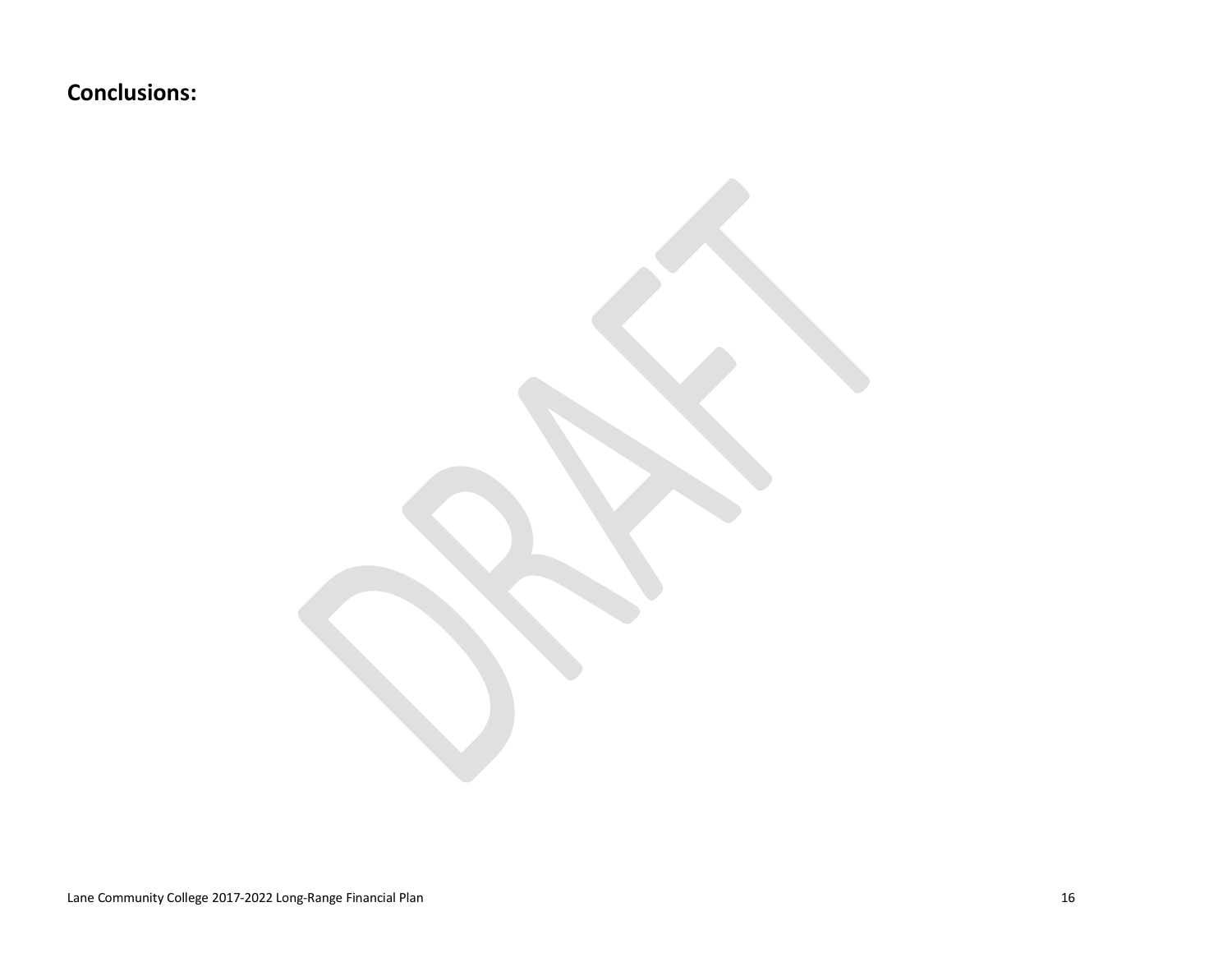**Conclusions:**